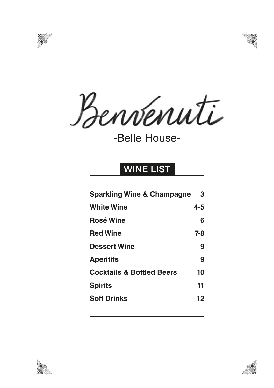



Benvenuti

-Belle House-

#### WINE LIST

| <b>Sparkling Wine &amp; Champagne</b> | 3   |
|---------------------------------------|-----|
| <b>White Wine</b>                     | 4-5 |
| <b>Rosé Wine</b>                      | 6   |
| <b>Red Wine</b>                       | 7-8 |
| <b>Dessert Wine</b>                   | 9   |
| <b>Aperitifs</b>                      | 9   |
| <b>Cocktails &amp; Bottled Beers</b>  | 10  |
| <b>Spirits</b>                        | 11  |
| <b>Soft Drinks</b>                    | 12  |
|                                       |     |



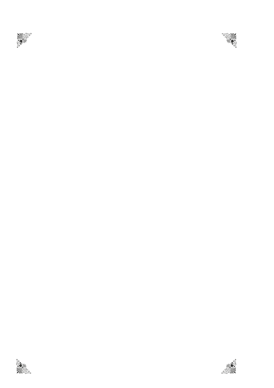





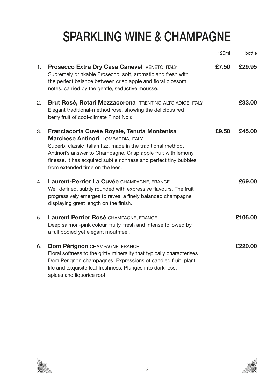# SPARKLING WINE & CHAMPAGNE

|    |                                                                                                                                                                                                                                                                                                                                    | 125ml | bottle  |
|----|------------------------------------------------------------------------------------------------------------------------------------------------------------------------------------------------------------------------------------------------------------------------------------------------------------------------------------|-------|---------|
| 1. | <b>Prosecco Extra Dry Casa Canevel VENETO, ITALY</b><br>Supremely drinkable Prosecco: soft, aromatic and fresh with<br>the perfect balance between crisp apple and floral blossom<br>notes, carried by the gentle, seductive mousse.                                                                                               | £7.50 | £29.95  |
| 2. | <b>Brut Rosé, Rotari Mezzacorona</b> TRENTINO-ALTO ADIGE, ITALY<br>Elegant traditional-method rosé, showing the delicious red<br>berry fruit of cool-climate Pinot Noir.                                                                                                                                                           |       | £33.00  |
| 3. | Franciacorta Cuvée Royale, Tenuta Montenisa<br><b>Marchese Antinori</b> LOMBARDIA. ITALY<br>Superb, classic Italian fizz, made in the traditional method.<br>Antinori's answer to Champagne. Crisp apple fruit with lemony<br>finesse, it has acquired subtle richness and perfect tiny bubbles<br>from extended time on the lees. | £9.50 | £45.00  |
| 4. | Laurent-Perrier La Cuvée CHAMPAGNE, FRANCE<br>Well defined, subtly rounded with expressive flavours. The fruit<br>progressively emerges to reveal a finely balanced champagne<br>displaying great length on the finish.                                                                                                            |       | £69.00  |
| 5. | Laurent Perrier Rosé CHAMPAGNE. FRANCE<br>Deep salmon-pink colour, fruity, fresh and intense followed by<br>a full bodied yet elegant mouthfeel.                                                                                                                                                                                   |       | £105.00 |
| 6. | Dom Pérignon CHAMPAGNE, FRANCE<br>Floral softness to the gritty minerality that typically characterises<br>Dom Perignon champagnes. Expressions of candied fruit, plant<br>life and exquisite leaf freshness. Plunges into darkness,<br>spices and liquorice root.                                                                 |       | £220.00 |



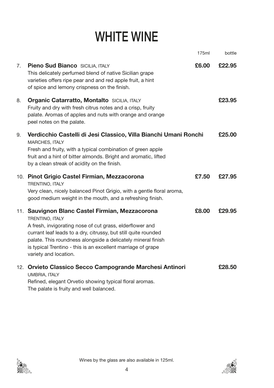### WHITE WINE

|    |                                                                                                                                                                                                                                                                                                                                                           | 175ml | bottle |
|----|-----------------------------------------------------------------------------------------------------------------------------------------------------------------------------------------------------------------------------------------------------------------------------------------------------------------------------------------------------------|-------|--------|
| 7. | Pieno Sud Bianco SICILIA, ITALY<br>This delicately perfumed blend of native Sicilian grape<br>varieties offers ripe pear and and red apple fruit, a hint<br>of spice and lemony crispness on the finish.                                                                                                                                                  | £6.00 | £22.95 |
| 8. | <b>Organic Catarratto, Montalto SICILIA, ITALY</b><br>Fruity and dry with fresh citrus notes and a crisp, fruity<br>palate. Aromas of apples and nuts with orange and orange<br>peel notes on the palate.                                                                                                                                                 |       | £23.95 |
| 9. | Verdicchio Castelli di Jesi Classico, Villa Bianchi Umani Ronchi<br><b>MARCHES, ITALY</b><br>Fresh and fruity, with a typical combination of green apple<br>fruit and a hint of bitter almonds. Bright and aromatic, lifted<br>by a clean streak of acidity on the finish.                                                                                |       | £25.00 |
|    | 10. Pinot Grigio Castel Firmian, Mezzacorona<br><b>TRENTINO, ITALY</b><br>Very clean, nicely balanced Pinot Grigio, with a gentle floral aroma,<br>good medium weight in the mouth, and a refreshing finish.                                                                                                                                              | £7.50 | £27.95 |
|    | 11. Sauvignon Blanc Castel Firmian, Mezzacorona<br>TRENTINO, ITALY<br>A fresh, invigorating nose of cut grass, elderflower and<br>currant leaf leads to a dry, citrussy, but still quite rounded<br>palate. This roundness alongside a delicately mineral finish<br>is typical Trentino - this is an excellent marriage of grape<br>variety and location. | £8.00 | £29.95 |
|    | 12. Orvieto Classico Secco Campogrande Marchesi Antinori<br><b>UMBRIA, ITALY</b><br>Refined, elegant Orvetio showing typical floral aromas.<br>The palate is fruity and well balanced.                                                                                                                                                                    |       | £28.50 |



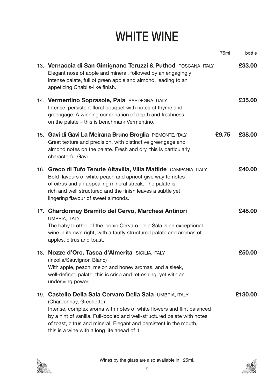### WHITE WINE

|                                                                                                                                                                                                                                                                                                                                                               | 175ml | bottle  |
|---------------------------------------------------------------------------------------------------------------------------------------------------------------------------------------------------------------------------------------------------------------------------------------------------------------------------------------------------------------|-------|---------|
| 13. Vernaccia di San Gimignano Teruzzi & Puthod TOSCANA, ITALY<br>Elegant nose of apple and mineral, followed by an engagingly<br>intense palate, full of green apple and almond, leading to an<br>appetizing Chablis-like finish.                                                                                                                            |       | £33.00  |
| 14. Vermentino Soprasole, Pala SARDEGNA, ITALY<br>Intense, persistent floral bouquet with notes of thyme and<br>greengage. A winning combination of depth and freshness<br>on the palate - this is benchmark Vermentino.                                                                                                                                      |       | £35.00  |
| 15. Gavi di Gavi La Meirana Bruno Broglia PIEMONTE, ITALY<br>Great texture and precision, with distinctive greengage and<br>almond notes on the palate. Fresh and dry, this is particularly<br>characterful Gavi.                                                                                                                                             | £9.75 | £38.00  |
| 16. Greco di Tufo Tenute Altavilla, Villa Matilde CAMPANIA, ITALY<br>Bold flavours of white peach and apricot give way to notes<br>of citrus and an appealing mineral streak. The palate is<br>rich and well structured and the finish leaves a subtle yet<br>lingering flavour of sweet almonds.                                                             |       | £40.00  |
| 17. Chardonnay Bramito del Cervo, Marchesi Antinori<br><b>UMBRIA, ITALY</b><br>The baby brother of the iconic Cervaro della Sala is an exceptional<br>wine in its own right, with a tautly structured palate and aromas of<br>apples, citrus and toast.                                                                                                       |       | £48.00  |
| 18. Nozze d'Oro, Tasca d'Almerita SICILIA, ITALY<br>(Inzolia/Sauvignon Blanc)<br>With apple, peach, melon and honey aromas, and a sleek,<br>well-defined palate, this is crisp and refreshing, yet with an<br>underlying power.                                                                                                                               |       | £50.00  |
| 19. Castello Della Sala Cervaro Della Sala UMBRIA, ITALY<br>(Chardonnay, Grechetto)<br>Intense, complex aroma with notes of white flowers and flint balanced<br>by a hint of vanilla. Full-bodied and well-structured palate with notes<br>of toast, citrus and mineral. Elegant and persistent in the mouth,<br>this is a wine with a long life ahead of it. |       | £130.00 |



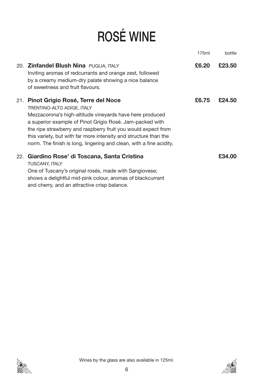# ROSÉ WINE

|                                                                                                                                                                                                                                                                                                                                                                                                         | 175ml | bottle |
|---------------------------------------------------------------------------------------------------------------------------------------------------------------------------------------------------------------------------------------------------------------------------------------------------------------------------------------------------------------------------------------------------------|-------|--------|
| 20. Zinfandel Blush Nina PUGLIA, ITALY<br>Inviting aromas of redcurrants and orange zest, followed<br>by a creamy medium-dry palate showing a nice balance<br>of sweetness and fruit flavours.                                                                                                                                                                                                          | £6.20 | £23.50 |
| 21. Pinot Grigio Rosé, Terre del Noce<br>TRENTINO-ALTO ADIGE, ITALY<br>Mezzacorona's high-altitude vineyards have here produced<br>a superior example of Pinot Grigio Rosé. Jam-packed with<br>the ripe strawberry and raspberry fruit you would expect from<br>this variety, but with far more intensity and structure than the<br>norm. The finish is long, lingering and clean, with a fine acidity. | £6.75 | £24.50 |
| 22. Giardino Rose' di Toscana, Santa Cristina<br>TUSCANY, ITALY<br>One of Tuscany's original rosés, made with Sangiovese;<br>shows a delightful mid-pink colour, aromas of blackcurrant<br>and cherry, and an attractive crisp balance.                                                                                                                                                                 |       | £34.00 |



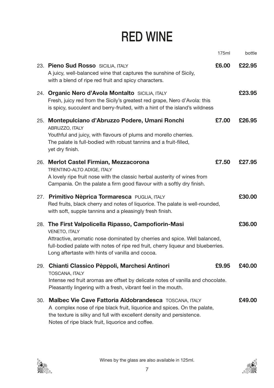### RED WINE

|                                                                                                                                                                                                                                                                                                   | 175ml | bottle |
|---------------------------------------------------------------------------------------------------------------------------------------------------------------------------------------------------------------------------------------------------------------------------------------------------|-------|--------|
| 23. Pieno Sud Rosso SICILIA, ITALY<br>A juicy, well-balanced wine that captures the sunshine of Sicily,<br>with a blend of ripe red fruit and spicy characters.                                                                                                                                   | £6.00 | £22.95 |
| 24. Organic Nero d'Avola Montalto SICILIA, ITALY<br>Fresh, juicy red from the Sicily's greatest red grape, Nero d'Avola: this<br>is spicy, succulent and berry-fruited, with a hint of the island's wildness                                                                                      |       | £23.95 |
| 25. Montepulciano d'Abruzzo Podere, Umani Ronchi<br>ABRUZZO. ITALY<br>Youthful and juicy, with flavours of plums and morello cherries.<br>The palate is full-bodied with robust tannins and a fruit-filled,<br>yet dry finish.                                                                    | £7.00 | £26.95 |
| 26. Merlot Castel Firmian, Mezzacorona<br>TRENTINO-ALTO ADIGE, ITALY<br>A lovely ripe fruit nose with the classic herbal austerity of wines from<br>Campania. On the palate a firm good flavour with a softly dry finish.                                                                         | £7.50 | £27.95 |
| 27. Primitivo Nèprica Tormaresca PUGLIA, ITALY<br>Red fruits, black cherry and notes of liquorice. The palate is well-rounded,<br>with soft, supple tannins and a pleasingly fresh finish.                                                                                                        |       | £30.00 |
| 28. The First Valpolicella Ripasso, Campofiorin-Masi<br><b>VENETO. ITALY</b><br>Attractive, aromatic nose dominated by cherries and spice. Well balanced,<br>full-bodied palate with notes of ripe red fruit, cherry liqueur and blueberries.<br>Long aftertaste with hints of vanilla and cocoa. |       | £36.00 |
| 29. Chianti Classico Pèppoli, Marchesi Antinori<br><b>TOSCANA, ITALY</b><br>Intense red fruit aromas are offset by delicate notes of vanilla and chocolate.<br>Pleasantly lingering with a fresh, vibrant feel in the mouth.                                                                      | £9.95 | £40.00 |
| 30. Malbec Vie Cave Fattoria Aldobrandesca TOSCANA, ITALY<br>A complex nose of ripe black fruit, liquorice and spices. On the palate,<br>the texture is silky and full with excellent density and persistence.<br>Notes of ripe black fruit, liquorice and coffee.                                |       | £49.00 |



Wines by the glass are also available in 125ml.

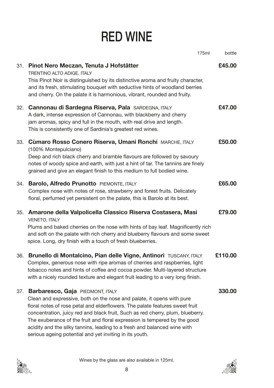### RED WINE

|     |                                                                                                                                                                                                                                                                                                                                                                                                                                                                                                     | 175ml | bottle  |
|-----|-----------------------------------------------------------------------------------------------------------------------------------------------------------------------------------------------------------------------------------------------------------------------------------------------------------------------------------------------------------------------------------------------------------------------------------------------------------------------------------------------------|-------|---------|
|     | 31. Pinot Nero Meczan, Tenuta J Hofstätter<br>TRENTINO ALTO ADIGE, ITALY<br>This Pinot Noir is distinguished by its distinctive aroma and fruity character,<br>and its fresh, stimulating bouquet with seductive hints of woodland berries<br>and cherry. On the palate it is harmonious, vibrant, rounded and fruity.                                                                                                                                                                              |       | £45.00  |
|     | 32. Cannonau di Sardegna Riserva, Pala SARDEGNA, ITALY<br>A dark, intense expression of Cannonau, with blackberry and cherry<br>jam aromas, spicy and full in the mouth, with real drive and length.<br>This is consistently one of Sardinia's greatest red wines.                                                                                                                                                                                                                                  |       | £47.00  |
| 33. | Cùmaro Rosso Conero Riserva, Umani Ronchi MARCHE, ITALY<br>(100% Montepulciano)<br>Deep and rich black cherry and bramble flavours are followed by savoury<br>notes of woody spice and earth, with just a hint of tar. The tannins are finely<br>grained and give an elegant finish to this medium to full bodied wine.                                                                                                                                                                             |       | £50.00  |
|     | 34. Barolo, Alfredo Prunotto PIEMONTE, ITALY<br>Complex nose with notes of rose, strawberry and forest fruits. Delicately<br>floral, perfumed yet persistent on the palate, this is Barolo at its best.                                                                                                                                                                                                                                                                                             |       | £65.00  |
|     | 35. Amarone della Valpolicella Classico Riserva Costasera, Masi<br><b>VENETO. ITALY</b><br>Plums and baked cherries on the nose with hints of bay leaf. Magnificently rich<br>and soft on the palate with rich cherry and blueberry flavours and some sweet<br>spice. Long, dry finish with a touch of fresh blueberries.                                                                                                                                                                           |       | £79.00  |
|     | 36. Brunello di Montalcino, Pian delle Vigne, Antinori TUSCANY, ITALY<br>Complex, generous nose with ripe aromas of cherries and raspberries, light<br>tobacco notes and hints of coffee and cocoa powder. Multi-layered structure<br>with a nicely rounded texture and elegant fruit leading to a very long finish.                                                                                                                                                                                |       | £110.00 |
|     | 37. Barbaresco, Gaja PIEDMONT, ITALY<br>Clean and expressive, both on the nose and palate, it opens with pure<br>floral notes of rose petal and elderflowers. The palate features sweet fruit<br>concentration, juicy red and black fruit, Such as red cherry, plum, blueberry.<br>The exuberance of the fruit and floral expression is tempered by the good<br>acidity and the silky tannins, leading to a fresh and balanced wine with<br>serious ageing potential and yet inviting in its youth. |       | 330.00  |



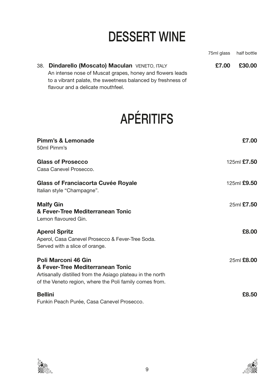# DESSERT WINE

| 38. Dindarello (Moscato) Maculan VENETO, ITALY              | £7.00 | £30.00 |
|-------------------------------------------------------------|-------|--------|
| An intense nose of Muscat grapes, honey and flowers leads   |       |        |
| to a vibrant palate, the sweetness balanced by freshness of |       |        |
| flavour and a delicate mouthfeel.                           |       |        |

# APÉRITIFS

| Pimm's & Lemonade<br>50ml Pimm's                                                                                                                                                 | £7.00       |
|----------------------------------------------------------------------------------------------------------------------------------------------------------------------------------|-------------|
| <b>Glass of Prosecco</b><br>Casa Canevel Prosecco.                                                                                                                               | 125ml £7.50 |
| Glass of Franciacorta Cuvée Royale<br>Italian style "Champagne".                                                                                                                 | 125ml £9.50 |
| <b>Malfy Gin</b><br>& Fever-Tree Mediterranean Tonic<br>Lemon flavoured Gin.                                                                                                     | 25ml £7.50  |
| <b>Aperol Spritz</b><br>Aperol, Casa Canevel Prosecco & Fever-Tree Soda.<br>Served with a slice of orange.                                                                       | £8.00       |
| Poli Marconi 46 Gin<br>& Fever-Tree Mediterranean Tonic<br>Artisanally distilled from the Asiago plateau in the north<br>of the Veneto region, where the Poli family comes from. | 25ml £8.00  |
| <b>Bellini</b><br>Funkin Peach Purée, Casa Canevel Prosecco.                                                                                                                     | £8.50       |





75ml glass half bottle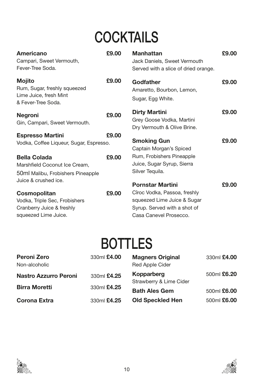# **COCKTAILS**

| Americano<br>Campari, Sweet Vermouth,<br>Fever-Tree Soda.                                                         | £9.00 | <b>Manhattan</b><br>Jack Daniels, Sweet Vermouth<br>Served with a slice of dried orange.                              | £9.00 |
|-------------------------------------------------------------------------------------------------------------------|-------|-----------------------------------------------------------------------------------------------------------------------|-------|
| <b>Mojito</b><br>Rum, Sugar, freshly squeezed<br>Lime Juice, fresh Mint<br>& Fever-Tree Soda.                     | £9.00 | Godfather<br>Amaretto, Bourbon, Lemon,<br>Sugar, Egg White.                                                           | £9.00 |
| <b>Negroni</b><br>Gin, Campari, Sweet Vermouth.                                                                   | £9.00 | <b>Dirty Martini</b><br>Grey Goose Vodka, Martini<br>Dry Vermouth & Olive Brine.                                      | £9.00 |
| <b>Espresso Martini</b><br>Vodka, Coffee Liqueur, Sugar, Espresso.                                                | £9.00 | <b>Smoking Gun</b><br>Captain Morgan's Spiced                                                                         | £9.00 |
| <b>Bella Colada</b><br>Marshfield Coconut Ice Cream.<br>50ml Malibu, Frobishers Pineapple<br>Juice & crushed ice. | £9.00 | Rum, Frobishers Pineapple<br>Juice, Sugar Syrup, Sierra<br>Silver Tequila.<br><b>Pornstar Martini</b>                 | £9.00 |
| Cosmopolitan<br>Vodka, Triple Sec, Frobishers<br>Cranberry Juice & freshly<br>squeezed Lime Juice.                | £9.00 | Cîroc Vodka, Passoa, freshly<br>squeezed Lime Juice & Sugar<br>Syrup. Served with a shot of<br>Casa Canevel Prosecco. |       |

### **BOTTLES**

| Peroni Zero<br>Non-alcoholic | 330ml £4.00 | <b>Magners Original</b><br><b>Red Apple Cider</b> | 330ml £4,00 |
|------------------------------|-------------|---------------------------------------------------|-------------|
| Nastro Azzurro Peroni        | 330ml £4.25 | Kopparberg<br>Strawberry & Lime Cider             | 500ml £6.20 |
| <b>Birra Moretti</b>         | 330ml £4.25 | <b>Bath Ales Gem</b>                              | 500ml £6.00 |
| Corona Extra                 | 330ml £4.25 | <b>Old Speckled Hen</b>                           | 500ml £6.00 |



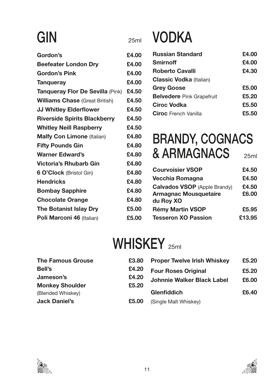# $GIN$  25ml

| Gordon's                                | £4.00 |
|-----------------------------------------|-------|
| <b>Beefeater London Dry</b>             | £4.00 |
| <b>Gordon's Pink</b>                    | £4.00 |
| <b>Tangueray</b>                        | £4.00 |
| <b>Tanqueray Flor De Sevilla (Pink)</b> | £4.50 |
| <b>Williams Chase (Great British)</b>   | £4.50 |
| <b>JJ Whitley Elderflower</b>           | £4.50 |
| <b>Riverside Spirits Blackberry</b>     | £4.50 |
| <b>Whitley Neill Raspberry</b>          | £4.50 |
| <b>Malfy Con Limone (Italian)</b>       | £4.80 |
| <b>Fifty Pounds Gin</b>                 | £4.80 |
| <b>Warner Edward's</b>                  | £4.80 |
| <b>Victoria's Rhubarb Gin</b>           | £4.80 |
| 6 O'Clock (Bristol Gin)                 | £4.80 |
| <b>Hendricks</b>                        | £4.80 |
| <b>Bombay Sapphire</b>                  | £4.80 |
| <b>Chocolate Orange</b>                 | £4.80 |
| <b>The Botanist Islay Dry</b>           | £5.00 |
| Poli Marconi 46 (Italian)               | £5.00 |

# VODKA

| <b>Russian Standard</b>          | £4.00 |
|----------------------------------|-------|
| <b>Smirnoff</b>                  | £4.00 |
| <b>Roberto Cavalli</b>           | £4.30 |
| <b>Classic Vodka</b> (Italian)   |       |
| <b>Grey Goose</b>                | £5.00 |
| <b>Belvedere</b> Pink Grapefruit | £5.20 |
| Ciroc Vodka                      | £5.50 |
| <b>Ciroc</b> French Vanilla      | £5.50 |

#### BRANDY, COGNACS & ARMAGNACS 25ml

| <b>Courvoisier VSOP</b>             | £4.50  |
|-------------------------------------|--------|
| Vecchia Romagna                     | £4.50  |
| <b>Calvados VSOP</b> (Apple Brandy) | £4.50  |
| <b>Armagnac Mousquetaire</b>        | £6.00  |
| du Roy XO                           |        |
| <b>Rémy Martin VSOP</b>             | £5.95  |
| <b>Tesseron XO Passion</b>          | £13.95 |

# WHISKEY 25ml

| The Famous Grouse      | £3.80 | <b>Proper Twelve Irish Whiskey</b> | £5.20 |
|------------------------|-------|------------------------------------|-------|
| Bell's                 | £4.20 | <b>Four Roses Original</b>         | £5.20 |
| Jameson's              | £4.20 | Johnnie Walker Black Label         | £6.00 |
| <b>Monkey Shoulder</b> | £5.20 |                                    |       |
| (Blended Whiskey)      |       | <b>Glenfiddich</b>                 | £6.40 |
| Jack Daniel's          | £5.00 | (Single Malt Whiskey)              |       |